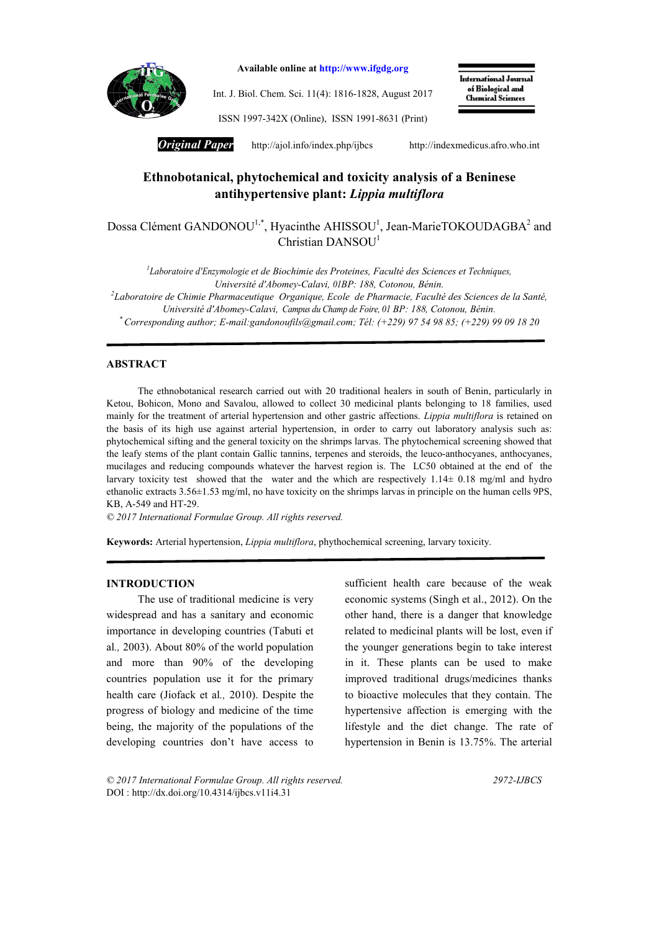

Available online at http://www.ifgdg.org

Int. J. Biol. Chem. Sci. 11(4): 1816-1828, August 2017

International Journal of Biological and **Chemical Sciences** 

ISSN 1997-342X (Online), ISSN 1991-8631 (Print)

*Original Paper* http://ajol.info/index.php/ijbcshttp://indexmedicus.afro.who.int

# Ethnobotanical, phytochemical and toxicity analysis of a Beninese antihypertensive plant: *Lippia multiflora*

Dossa Clément GANDONOU<sup>1,\*</sup>, Hyacinthe AHISSOU<sup>1</sup>, Jean-MarieTOKOUDAGBA<sup>2</sup> and Christian  $DANSOU<sup>1</sup>$ 

*1 Laboratoire d'Enzymologie et de Biochimie des Proteines, Faculté des Sciences et Techniques, Université d'Abomey-Calavi, 01BP: 188, Cotonou, Bénin. 2 Laboratoire de Chimie Pharmaceutique Organique, Ecole de Pharmacie, Faculté des Sciences de la Santé, Université d'Abomey-Calavi, Campus du Champ de Foire, 01 BP: 188, Cotonou, Bénin. \* Corresponding author; E-mail:gandonoufils@gmail.com; Tél: (+229) 97 54 98 85; (+229) 99 09 18 20*

### ABSTRACT

The ethnobotanical research carried out with 20 traditional healers in south of Benin, particularly in Ketou, Bohicon, Mono and Savalou, allowed to collect 30 medicinal plants belonging to 18 families, used mainly for the treatment of arterial hypertension and other gastric affections. *Lippia multiflora* is retained on the basis of its high use against arterial hypertension, in order to carry out laboratory analysis such as: phytochemical sifting and the general toxicity on the shrimps larvas. The phytochemical screening showed that the leafy stems of the plant contain Gallic tannins, terpenes and steroids, the leuco-anthocyanes, anthocyanes, mucilages and reducing compounds whatever the harvest region is. The LC50 obtained at the end of the larvary toxicity test showed that the water and the which are respectively  $1.14 \pm 0.18$  mg/ml and hydro ethanolic extracts 3.56±1.53 mg/ml, no have toxicity on the shrimps larvas in principle on the human cells 9PS, KB, A-549 and HT-29.

*© 2017 International Formulae Group. All rights reserved.*

Keywords: Arterial hypertension, *Lippia multiflora*, phythochemical screening, larvary toxicity.

#### INTRODUCTION

The use of traditional medicine is very widespread and has a sanitary and economic importance in developing countries (Tabuti et al*.,* 2003). About 80% of the world population and more than 90% of the developing countries population use it for the primary health care (Jiofack et al*.,* 2010). Despite the progress of biology and medicine of the time being, the majority of the populations of the developing countries don't have access to

sufficient health care because of the weak economic systems (Singh et al., 2012). On the other hand, there is a danger that knowledge related to medicinal plants will be lost, even if the younger generations begin to take interest in it. These plants can be used to make improved traditional drugs/medicines thanks to bioactive molecules that they contain. The hypertensive affection is emerging with the lifestyle and the diet change. The rate of hypertension in Benin is 13.75%. The arterial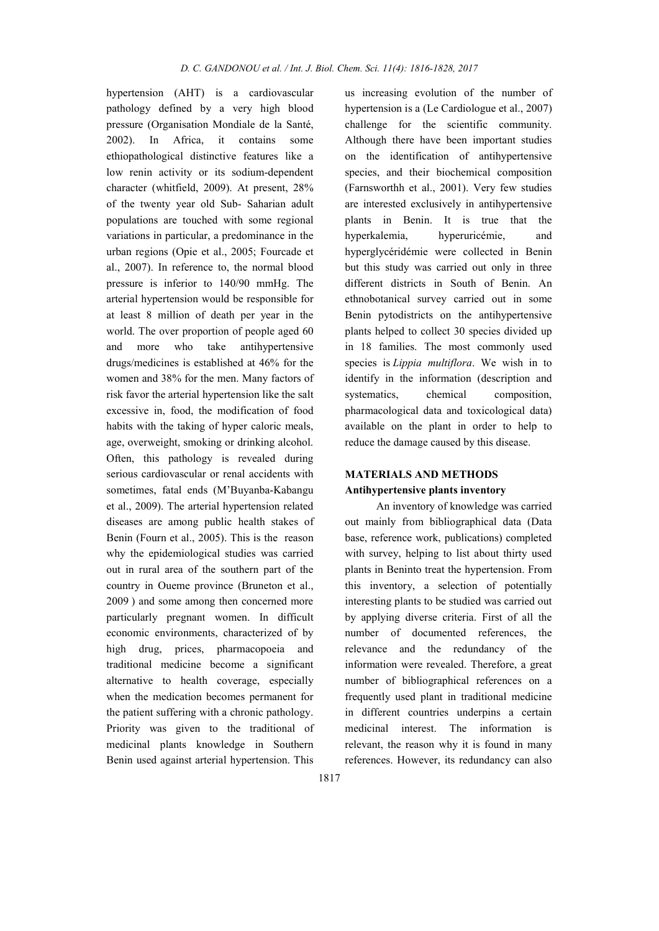hypertension (AHT) is a cardiovascular pathology defined by a very high blood pressure (Organisation Mondiale de la Santé, 2002). In Africa, it contains some ethiopathological distinctive features like a low renin activity or its sodium-dependent character (whitfield, 2009). At present, 28% of the twenty year old Sub- Saharian adult populations are touched with some regional variations in particular, a predominance in the urban regions (Opie et al., 2005; Fourcade et al., 2007). In reference to, the normal blood pressure is inferior to 140/90 mmHg. The arterial hypertension would be responsible for at least 8 million of death per year in the world. The over proportion of people aged 60 and more who take antihypertensive drugs/medicines is established at 46% for the women and 38% for the men. Many factors of risk favor the arterial hypertension like the salt excessive in, food, the modification of food habits with the taking of hyper caloric meals, age, overweight, smoking or drinking alcohol. Often, this pathology is revealed during serious cardiovascular or renal accidents with sometimes, fatal ends (M'Buyanba-Kabangu et al., 2009). The arterial hypertension related diseases are among public health stakes of Benin (Fourn et al., 2005). This is the reason why the epidemiological studies was carried out in rural area of the southern part of the country in Oueme province (Bruneton et al., 2009 ) and some among then concerned more particularly pregnant women. In difficult economic environments, characterized of by high drug, prices, pharmacopoeia and traditional medicine become a significant alternative to health coverage, especially when the medication becomes permanent for the patient suffering with a chronic pathology. Priority was given to the traditional of medicinal plants knowledge in Southern Benin used against arterial hypertension. This us increasing evolution of the number of hypertension is a (Le Cardiologue et al., 2007) challenge for the scientific community. Although there have been important studies on the identification of antihypertensive species, and their biochemical composition (Farnsworthh et al., 2001). Very few studies are interested exclusively in antihypertensive plants in Benin. It is true that the hyperkalemia, hyperuricémie, and hyperglycéridémie were collected in Benin but this study was carried out only in three different districts in South of Benin. An ethnobotanical survey carried out in some Benin pytodistricts on the antihypertensive plants helped to collect 30 species divided up in 18 families. The most commonly used species is *Lippia multiflora*. We wish in to identify in the information (description and systematics, chemical composition, pharmacological data and toxicological data) available on the plant in order to help to reduce the damage caused by this disease.

# MATERIALS AND METHODS Antihypertensive plants inventory

An inventory of knowledge was carried out mainly from bibliographical data (Data base, reference work, publications) completed with survey, helping to list about thirty used plants in Beninto treat the hypertension. From this inventory, a selection of potentially interesting plants to be studied was carried out by applying diverse criteria. First of all the number of documented references, the relevance and the redundancy of the information were revealed. Therefore, a great number of bibliographical references on a frequently used plant in traditional medicine in different countries underpins a certain medicinal interest. The information is relevant, the reason why it is found in many references. However, its redundancy can also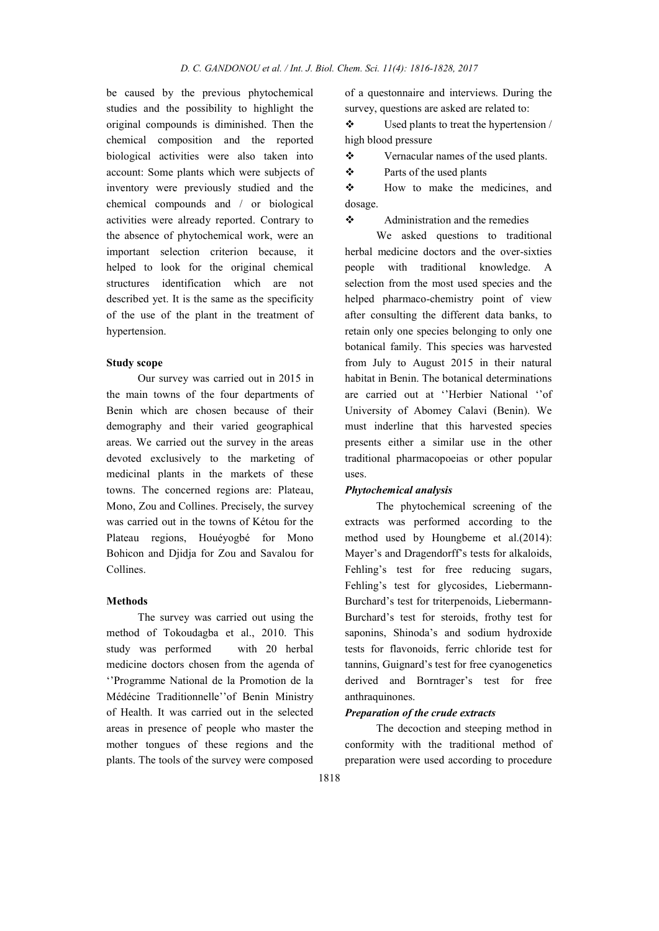be caused by the previous phytochemical studies and the possibility to highlight the original compounds is diminished. Then the chemical composition and the reported biological activities were also taken into account: Some plants which were subjects of inventory were previously studied and the chemical compounds and / or biological activities were already reported. Contrary to the absence of phytochemical work, were an important selection criterion because, it helped to look for the original chemical structures identification which are not described yet. It is the same as the specificity of the use of the plant in the treatment of hypertension.

### Study scope

Our survey was carried out in 2015 in the main towns of the four departments of Benin which are chosen because of their demography and their varied geographical areas. We carried out the survey in the areas devoted exclusively to the marketing of medicinal plants in the markets of these towns. The concerned regions are: Plateau, Mono, Zou and Collines. Precisely, the survey was carried out in the towns of Kétou for the Plateau regions, Houéyogbé for Mono Bohicon and Djidja for Zou and Savalou for Collines.

### Methods

The survey was carried out using the method of Tokoudagba et al., 2010. This study was performed with 20 herbal medicine doctors chosen from the agenda of ''Programme National de la Promotion de la Médécine Traditionnelle''of Benin Ministry of Health. It was carried out in the selected areas in presence of people who master the mother tongues of these regions and the plants. The tools of the survey were composed

of a questonnaire and interviews. During the survey, questions are asked are related to:

 $\triangle$  Used plants to treat the hypertension / high blood pressure

Vernacular names of the used plants.

Parts of the used plants

\* How to make the medicines, and dosage.

Administration and the remedies

We asked questions to traditional herbal medicine doctors and the over-sixties people with traditional knowledge. A selection from the most used species and the helped pharmaco-chemistry point of view after consulting the different data banks, to retain only one species belonging to only one botanical family. This species was harvested from July to August 2015 in their natural habitat in Benin. The botanical determinations are carried out at ''Herbier National ''of University of Abomey Calavi (Benin). We must inderline that this harvested species presents either a similar use in the other traditional pharmacopoeias or other popular uses.

### *Phytochemical analysis*

The phytochemical screening of the extracts was performed according to the method used by Houngbeme et al.(2014): Mayer's and Dragendorff's tests for alkaloids, Fehling's test for free reducing sugars, Fehling's test for glycosides, Liebermann-Burchard's test for triterpenoids, Liebermann-Burchard's test for steroids, frothy test for saponins, Shinoda's and sodium hydroxide tests for flavonoids, ferric chloride test for tannins, Guignard's test for free cyanogenetics derived and Borntrager's test for free anthraquinones.

## *Preparation of the crude extracts*

The decoction and steeping method in conformity with the traditional method of preparation were used according to procedure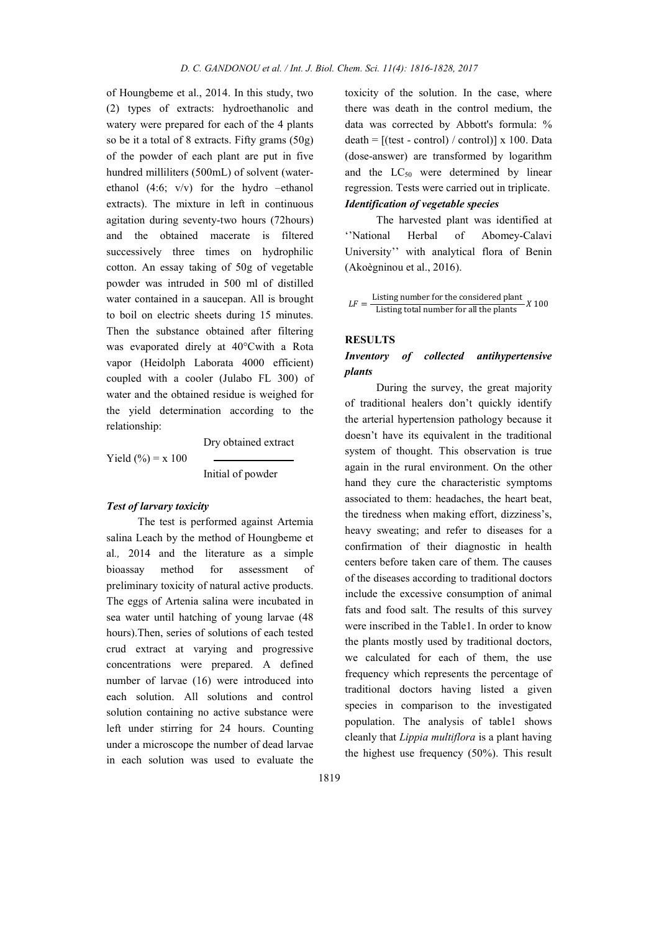of Houngbeme et al., 2014. In this study, two (2) types of extracts: hydroethanolic and watery were prepared for each of the 4 plants so be it a total of 8 extracts. Fifty grams (50g) of the powder of each plant are put in five hundred milliliters (500mL) of solvent (waterethanol (4:6; v/v) for the hydro –ethanol extracts). The mixture in left in continuous agitation during seventy-two hours (72hours) and the obtained macerate is filtered successively three times on hydrophilic cotton. An essay taking of 50g of vegetable powder was intruded in 500 ml of distilled water contained in a saucepan. All is brought to boil on electric sheets during 15 minutes. Then the substance obtained after filtering was evaporated direly at 40°Cwith a Rota vapor (Heidolph Laborata 4000 efficient) coupled with a cooler (Julabo FL 300) of water and the obtained residue is weighed for the yield determination according to the relationship:

Yield  $(\% ) = x 100$ 

Dry obtained extract

Initial of powder

## *Test of larvary toxicity*

The test is performed against Artemia salina Leach by the method of Houngbeme et al*.,* 2014 and the literature as a simple bioassay method for assessment of preliminary toxicity of natural active products. The eggs of Artenia salina were incubated in sea water until hatching of young larvae (48 hours).Then, series of solutions of each tested crud extract at varying and progressive concentrations were prepared. A defined number of larvae (16) were introduced into each solution. All solutions and control solution containing no active substance were left under stirring for 24 hours. Counting under a microscope the number of dead larvae in each solution was used to evaluate the

toxicity of the solution. In the case, where there was death in the control medium, the data was corrected by Abbott's formula: %  $death = [(test - control) / control] x 100$ . Data (dose-answer) are transformed by logarithm and the  $LC_{50}$  were determined by linear regression. Tests were carried out in triplicate. *Identification of vegetable species*

The harvested plant was identified at ''National Herbal of Abomey-Calavi University'' with analytical flora of Benin (Akoègninou et al., 2016).

 $LF =$  Listing number for the considered plant  $X = 100$ <br>Listing total number for all the plants

### RESULTS

## *Inventory of collected antihypertensive plants*

During the survey, the great majority of traditional healers don't quickly identify the arterial hypertension pathology because it doesn't have its equivalent in the traditional system of thought. This observation is true again in the rural environment. On the other hand they cure the characteristic symptoms associated to them: headaches, the heart beat, the tiredness when making effort, dizziness's, heavy sweating; and refer to diseases for a confirmation of their diagnostic in health centers before taken care of them. The causes of the diseases according to traditional doctors include the excessive consumption of animal fats and food salt. The results of this survey were inscribed in the Table1. In order to know the plants mostly used by traditional doctors, we calculated for each of them, the use frequency which represents the percentage of traditional doctors having listed a given species in comparison to the investigated population. The analysis of table1 shows cleanly that *Lippia multiflora* is a plant having the highest use frequency (50%). This result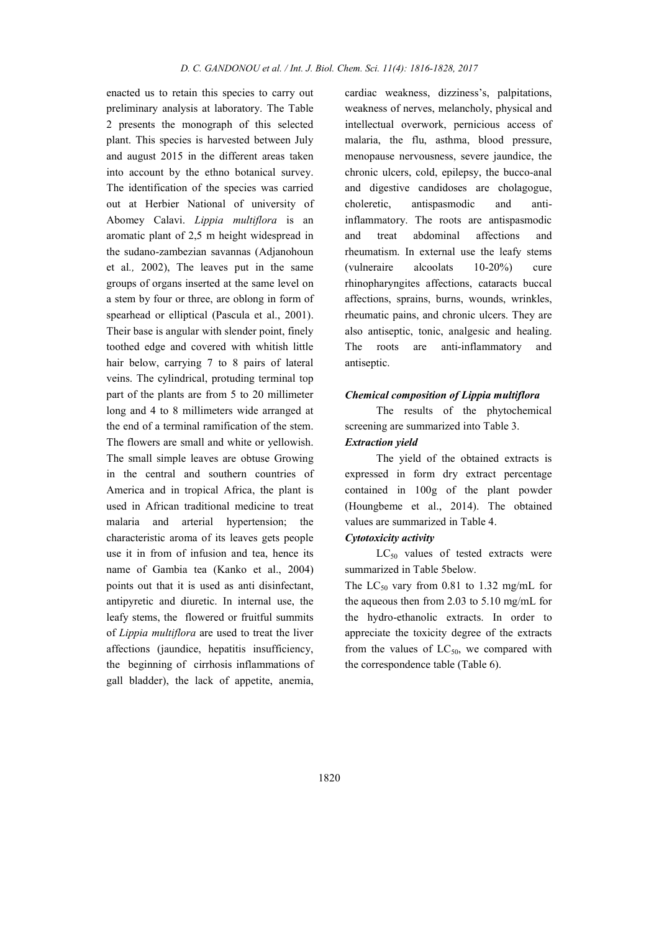enacted us to retain this species to carry out preliminary analysis at laboratory. The Table 2 presents the monograph of this selected plant. This species is harvested between July and august 2015 in the different areas taken into account by the ethno botanical survey. The identification of the species was carried out at Herbier National of university of Abomey Calavi. *Lippia multiflora* is an aromatic plant of 2,5 m height widespread in the sudano-zambezian savannas (Adjanohoun et al*.,* 2002), The leaves put in the same groups of organs inserted at the same level on a stem by four or three, are oblong in form of spearhead or elliptical (Pascula et al., 2001). Their base is angular with slender point, finely toothed edge and covered with whitish little hair below, carrying 7 to 8 pairs of lateral veins. The cylindrical, protuding terminal top part of the plants are from 5 to 20 millimeter long and 4 to 8 millimeters wide arranged at the end of a terminal ramification of the stem. The flowers are small and white or yellowish. The small simple leaves are obtuse Growing in the central and southern countries of America and in tropical Africa, the plant is used in African traditional medicine to treat malaria and arterial hypertension; the characteristic aroma of its leaves gets people use it in from of infusion and tea, hence its name of Gambia tea (Kanko et al., 2004) points out that it is used as anti disinfectant, antipyretic and diuretic. In internal use, the leafy stems, the flowered or fruitful summits of *Lippia multiflora* are used to treat the liver affections (jaundice, hepatitis insufficiency, the beginning of cirrhosis inflammations of gall bladder), the lack of appetite, anemia,

cardiac weakness, dizziness's, palpitations, weakness of nerves, melancholy, physical and intellectual overwork, pernicious access of malaria, the flu, asthma, blood pressure, menopause nervousness, severe jaundice, the chronic ulcers, cold, epilepsy, the bucco-anal and digestive candidoses are cholagogue, choleretic, antispasmodic and antiinflammatory. The roots are antispasmodic and treat abdominal affections and rheumatism. In external use the leafy stems (vulneraire alcoolats 10-20%) cure rhinopharyngites affections, cataracts buccal affections, sprains, burns, wounds, wrinkles, rheumatic pains, and chronic ulcers. They are also antiseptic, tonic, analgesic and healing. The roots are anti-inflammatory and antiseptic.

### *Chemical composition of Lippia multiflora*

The results of the phytochemical screening are summarized into Table 3.

# *Extraction yield*

The yield of the obtained extracts is expressed in form dry extract percentage contained in 100g of the plant powder (Houngbeme et al., 2014). The obtained values are summarized in Table 4.

# *Cytotoxicity activity*

 $LC_{50}$  values of tested extracts were summarized in Table 5below.

The  $LC_{50}$  vary from 0.81 to 1.32 mg/mL for the aqueous then from 2.03 to 5.10 mg/mL for the hydro-ethanolic extracts. In order to appreciate the toxicity degree of the extracts from the values of  $LC_{50}$ , we compared with the correspondence table (Table 6).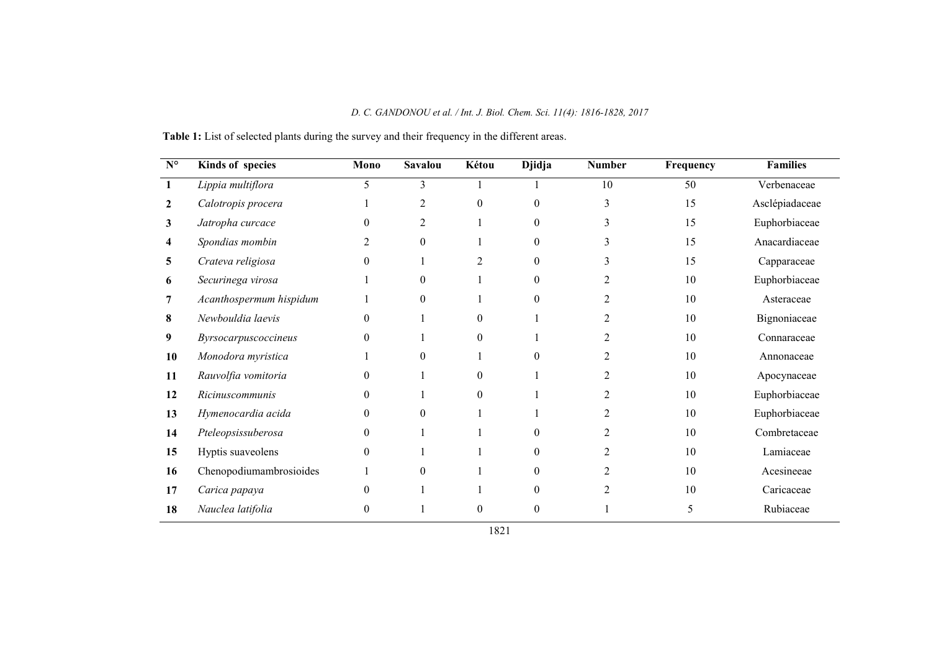| $\mathbf{N}^{\mathsf{o}}$ | Kinds of species        | Mono             | <b>Savalou</b> | Kétou          | <b>Djidja</b> | <b>Number</b>  | Frequency | <b>Families</b> |
|---------------------------|-------------------------|------------------|----------------|----------------|---------------|----------------|-----------|-----------------|
|                           | Lippia multiflora       | 5                | 3              |                |               | 10             | 50        | Verbenaceae     |
| 2                         | Calotropis procera      |                  | $\overline{2}$ | $\Omega$       | $\theta$      | 3              | 15        | Asclépiadaceae  |
| 3                         | Jatropha curcace        | $\boldsymbol{0}$ | $\overline{2}$ |                | $\theta$      | 3              | 15        | Euphorbiaceae   |
| 4                         | Spondias mombin         | 2                | $\overline{0}$ |                | $\theta$      | 3              | 15        | Anacardiaceae   |
| 5                         | Crateva religiosa       | $\theta$         |                | $\overline{2}$ | $\theta$      | 3              | 15        | Capparaceae     |
| 6                         | Securinega virosa       |                  | $\overline{0}$ |                | $\theta$      | 2              | 10        | Euphorbiaceae   |
| 7                         | Acanthospermum hispidum |                  | $\Omega$       |                | $\Omega$      | 2              | 10        | Asteraceae      |
| 8                         | Newbouldia laevis       | $\theta$         |                | $\theta$       |               | 2              | 10        | Bignoniaceae    |
| 9                         | Byrsocarpuscoccineus    | $\theta$         |                | $\Omega$       |               | 2              | 10        | Connaraceae     |
| 10                        | Monodora myristica      |                  | $\Omega$       |                | $\Omega$      | 2              | 10        | Annonaceae      |
| 11                        | Rauvolfia vomitoria     | $\theta$         |                | $\theta$       |               | 2              | 10        | Apocynaceae     |
| 12                        | <i>Ricinuscommunis</i>  | $\theta$         |                | $\theta$       |               | 2              | 10        | Euphorbiaceae   |
| 13                        | Hymenocardia acida      | $\theta$         | $\Omega$       |                |               | 2              | 10        | Euphorbiaceae   |
| 14                        | Pteleopsissuberosa      | $\theta$         |                |                | $\Omega$      | 2              | 10        | Combretaceae    |
| 15                        | Hyptis suaveolens       | $\theta$         |                |                | $\theta$      | 2              | 10        | Lamiaceae       |
| 16                        | Chenopodiumambrosioides |                  | $\theta$       |                | $\theta$      | 2              | 10        | Acesineeae      |
| 17                        | Carica papaya           | $\theta$         |                |                | $\theta$      | $\mathfrak{D}$ | 10        | Caricaceae      |
| 18                        | Nauclea latifolia       | 0                |                | $\theta$       | $\theta$      |                | 5         | Rubiaceae       |

Table 1: List of selected plants during the survey and their frequency in the different areas.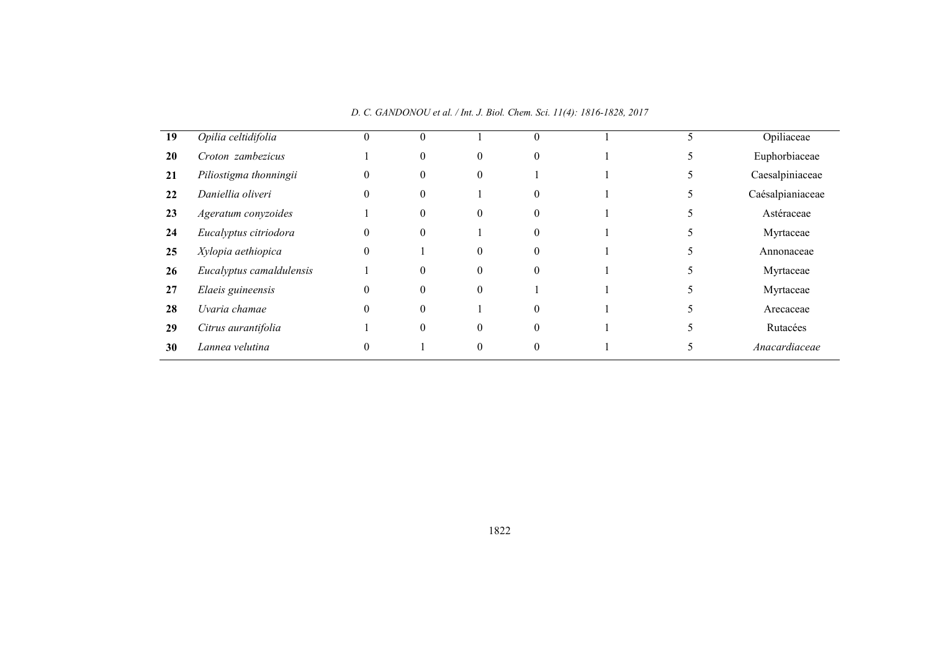| 19 | Opilia celtidifolia      | 0        | $\theta$ |          | $\theta$ |  | Opiliaceae       |
|----|--------------------------|----------|----------|----------|----------|--|------------------|
| 20 | Croton zambezicus        |          | $\theta$ | 0        | $\theta$ |  | Euphorbiaceae    |
| 21 | Piliostigma thonningii   | $\theta$ | $\theta$ | 0        |          |  | Caesalpiniaceae  |
| 22 | Daniellia oliveri        | $\theta$ | $\Omega$ |          | $\theta$ |  | Caésalpianiaceae |
| 23 | Ageratum conyzoides      |          | $\theta$ | $\theta$ | $\theta$ |  | Astéraceae       |
| 24 | Eucalyptus citriodora    | $\theta$ | $\theta$ |          | $\theta$ |  | Myrtaceae        |
| 25 | Xylopia aethiopica       | $\theta$ |          | $\theta$ | $\theta$ |  | Annonaceae       |
| 26 | Eucalyptus camaldulensis |          | $\theta$ | $\theta$ | $\theta$ |  | Myrtaceae        |
| 27 | Elaeis guineensis        | $\Omega$ | $\Omega$ | $\Omega$ |          |  | Myrtaceae        |
| 28 | Uvaria chamae            | $\theta$ | $\Omega$ |          | $\Omega$ |  | Arecaceae        |
| 29 | Citrus aurantifolia      |          | $\Omega$ | $\Omega$ | $\Omega$ |  | Rutacées         |
| 30 | Lannea velutina          | $\Omega$ |          | $\theta$ | $\Omega$ |  | Anacardiaceae    |

*D. C. GANDONOU et al. / Int. J. Biol. Chem. Sci. 11(4): 1816-1828, 2017*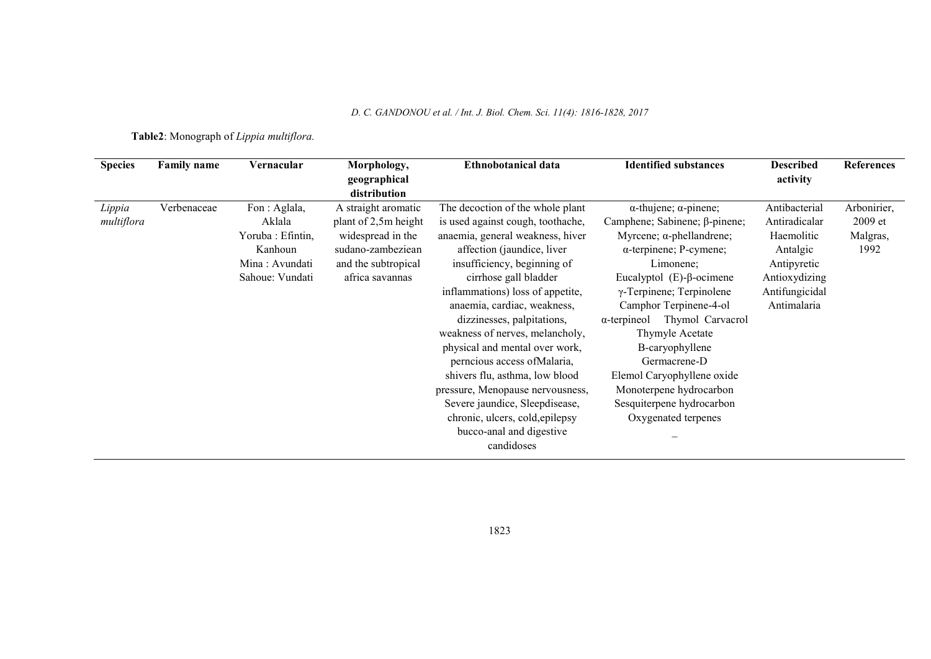*D. C. GANDONOU et al. / Int. J. Biol. Chem. Sci. 11(4): 1816-1828, 2017*

Table2: Monograph of *Lippia multiflora.*

| <b>Species</b>       | <b>Family name</b> | Vernacular                                                                                  | Morphology,<br>geographical<br>distribution                                                                                     | Ethnobotanical data                                                                                                                                                                                                                                                                              | <b>Identified substances</b>                                                                                                                                                                                                                                                                             | <b>Described</b><br>activity                                                                                              | <b>References</b>                          |
|----------------------|--------------------|---------------------------------------------------------------------------------------------|---------------------------------------------------------------------------------------------------------------------------------|--------------------------------------------------------------------------------------------------------------------------------------------------------------------------------------------------------------------------------------------------------------------------------------------------|----------------------------------------------------------------------------------------------------------------------------------------------------------------------------------------------------------------------------------------------------------------------------------------------------------|---------------------------------------------------------------------------------------------------------------------------|--------------------------------------------|
| Lippia<br>multiflora | Verbenaceae        | Fon : Aglala,<br>Aklala<br>Yoruba: Efintin,<br>Kanhoun<br>Mina: Avundati<br>Sahoue: Vundati | A straight aromatic<br>plant of 2,5m height<br>widespread in the<br>sudano-zambeziean<br>and the subtropical<br>africa savannas | The decoction of the whole plant<br>is used against cough, toothache,<br>anaemia, general weakness, hiver<br>affection (jaundice, liver<br>insufficiency, beginning of<br>cirrhose gall bladder<br>inflammations) loss of appetite,<br>anaemia, cardiac, weakness,<br>dizzinesses, palpitations, | $\alpha$ -thujene; $\alpha$ -pinene;<br>Camphene; Sabinene; β-pinene;<br>Myrcene; $\alpha$ -phellandrene;<br>$\alpha$ -terpinene; P-cymene;<br>Limonene;<br>Eucalyptol $(E)$ - $\beta$ -ocimene<br>$\gamma$ -Terpinene; Terpinolene<br>Camphor Terpinene-4-ol<br>Thymol Carvacrol<br>$\alpha$ -terpineol | Antibacterial<br>Antiradicalar<br>Haemolitic<br>Antalgic<br>Antipyretic<br>Antioxydizing<br>Antifungicidal<br>Antimalaria | Arbonirier,<br>2009 et<br>Malgras,<br>1992 |
|                      |                    |                                                                                             |                                                                                                                                 | weakness of nerves, melancholy,<br>physical and mental over work,<br>perncious access of Malaria,<br>shivers flu, asthma, low blood<br>pressure, Menopause nervousness,<br>Severe jaundice, Sleepdisease,<br>chronic, ulcers, cold, epilepsy<br>bucco-anal and digestive<br>candidoses           | Thymyle Acetate<br>B-caryophyllene<br>Germacrene-D<br>Elemol Caryophyllene oxide<br>Monoterpene hydrocarbon<br>Sesquiterpene hydrocarbon<br>Oxygenated terpenes                                                                                                                                          |                                                                                                                           |                                            |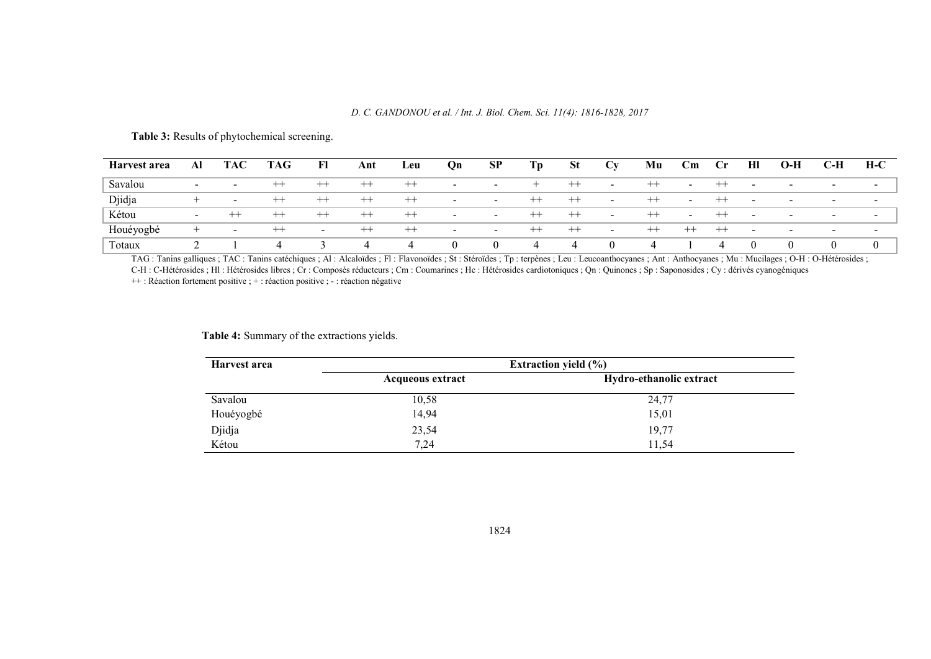### *D. C. GANDONOU et al. / Int. J. Biol. Chem. Sci. 11(4): 1816-1828, 2017*

| Harvest area | Al                       | <b>TAC</b>               | <b>TAG</b> | Fl                       | Ant     | Leu              | Qn                       | SP                       | Тp             | <b>St</b> | Cv                       | Mu             | $\mathbf{C}\mathbf{m}$   | $\mathbf{C}$ r | HI                       | $O-H$                    | C-H                      | $H-C$                    |
|--------------|--------------------------|--------------------------|------------|--------------------------|---------|------------------|--------------------------|--------------------------|----------------|-----------|--------------------------|----------------|--------------------------|----------------|--------------------------|--------------------------|--------------------------|--------------------------|
| Savalou      | $\overline{\phantom{a}}$ | $\overline{\phantom{0}}$ | ---        | $^{++}$                  | $^{++}$ | $^{++}$          | $\,$                     | $\overline{\phantom{0}}$ |                | $^{++}$   | $\overline{\phantom{a}}$ | $^{++}$        | $\overline{\phantom{a}}$ |                |                          |                          | $\overline{\phantom{0}}$ | $\overline{\phantom{0}}$ |
| Djidja       |                          | $\sim$                   | ---        | $-$                      | $^{++}$ | $^{\mathrm{++}}$ | -                        | $\overline{\phantom{0}}$ | $^{++}$        | $^{++}$   | $\overline{\phantom{a}}$ | $^{++}$        | $\sim$                   | $^{++}$        |                          | $\overline{\phantom{a}}$ | $\sim$                   | $\overline{\phantom{a}}$ |
| Kétou        | $\overline{\phantom{0}}$ | $-$                      | ---        | $^{++}$                  | $^{++}$ | $^{++}$          | $\sim$                   | $\overline{\phantom{0}}$ | $^{++}$        | $^{++}$   | $\sim$                   | $^{++}$        | $\sim$                   | $^{++}$        | $\overline{\phantom{a}}$ | $\sim$                   | $\sim$                   | $\sim$                   |
| Houéyogbé    |                          | $\sim$                   | ---        | $\overline{\phantom{0}}$ | $^{++}$ | $^{++}$          | $\overline{\phantom{a}}$ | $\sim$                   | $^{++}$        | $^{++}$   | $\sim$                   | $^{++}$        | $^{++}$                  | $^{++}$        | $\overline{\phantom{a}}$ | $\overline{\phantom{a}}$ | $\sim$                   | $\sim$                   |
| Totaux       |                          |                          | 4          |                          | ↵       | ↵                | $\theta$                 | $\theta$                 | $\overline{4}$ | ↵         |                          | $\overline{ }$ |                          | 4              |                          |                          |                          |                          |

## Table 3: Results of phytochemical screening.

TAG : Tanins galliques ; TAC : Tanins catéchiques ; Al : Alcaloïdes ; Fl : Flavonoïdes ; St : Stéroïdes ; Tp : terpènes ; Leu : Leucoanthocyanes ; Ant : Anthocyanes ; Mu : Mucilages ; O-H : O-Hétérosides ; C-H : C-Hétérosides ; Hl : Hétérosides libres ; Cr : Composés réducteurs ; Cm : Coumarines ; Hc : Hétérosides cardiotoniques ; Qn : Quinones ; Sp : Saponosides ; Cy : dérivés cyanogéniques

++ : Réaction fortement positive ; + : réaction positive ; - : réaction négative

## Table 4: Summary of the extractions yields.

| Harvest area | Extraction yield $(\% )$ |                         |  |  |  |  |  |
|--------------|--------------------------|-------------------------|--|--|--|--|--|
|              | <b>Acqueous extract</b>  | Hydro-ethanolic extract |  |  |  |  |  |
| Savalou      | 10,58                    | 24,77                   |  |  |  |  |  |
| Houéyogbé    | 14,94                    | 15,01                   |  |  |  |  |  |
| Djidja       | 23,54                    | 19,77                   |  |  |  |  |  |
| Kétou        | 7.24                     | 11,54                   |  |  |  |  |  |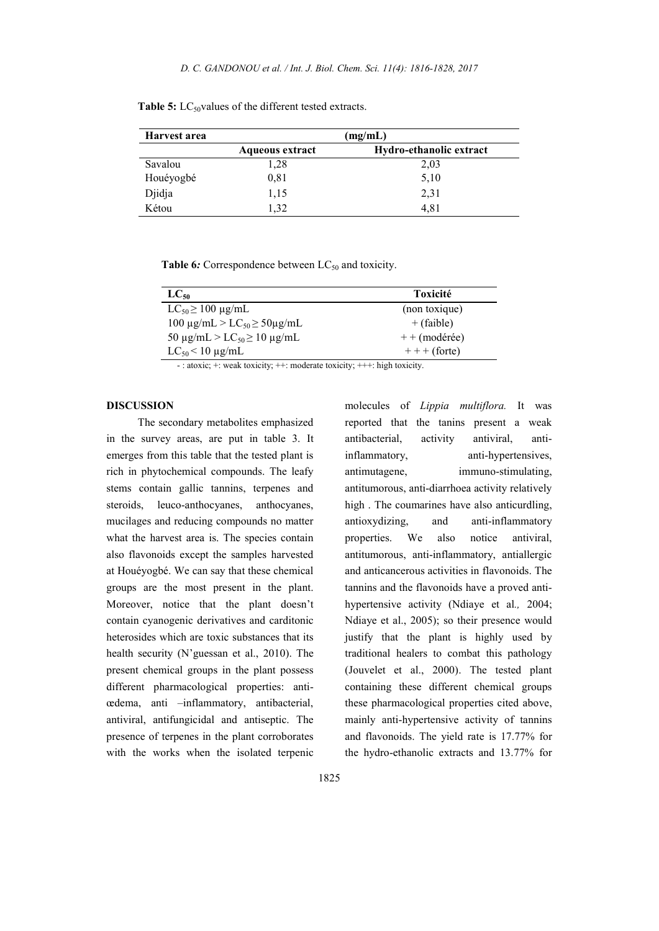| Harvest area | (mg/mL)                |                         |  |  |  |  |
|--------------|------------------------|-------------------------|--|--|--|--|
|              | <b>Aqueous extract</b> | Hydro-ethanolic extract |  |  |  |  |
| Savalou      | 1.28                   | 2,03                    |  |  |  |  |
| Houéyogbé    | 0.81                   | 5,10                    |  |  |  |  |
| Djidja       | 1,15                   | 2.31                    |  |  |  |  |
| Kétou        | 1.32                   | 4.81                    |  |  |  |  |

Table 5:  $LC_{50}$ values of the different tested extracts.

Table 6: Correspondence between LC<sub>50</sub> and toxicity.

| $LC_{50}$                                             | Toxicité       |
|-------------------------------------------------------|----------------|
| $LC_{50} \ge 100 \text{ µg/mL}$                       | (non toxique)  |
| 100 μg/mL > LC <sub>50</sub> $\geq$ 50μg/mL           | $+$ (faible)   |
| 50 $\mu$ g/mL > LC <sub>50</sub> $\geq$ 10 $\mu$ g/mL | $++$ (modérée) |
| $LC_{50}$ < 10 µg/mL                                  | $++$ (forte)   |

- : atoxic; +: weak toxicity; ++: moderate toxicity; +++: high toxicity.

### DISCUSSION

The secondary metabolites emphasized in the survey areas, are put in table 3. It emerges from this table that the tested plant is rich in phytochemical compounds. The leafy stems contain gallic tannins, terpenes and steroids, leuco-anthocyanes, anthocyanes, mucilages and reducing compounds no matter what the harvest area is. The species contain also flavonoids except the samples harvested at Houéyogbé. We can say that these chemical groups are the most present in the plant. Moreover, notice that the plant doesn't contain cyanogenic derivatives and carditonic heterosides which are toxic substances that its health security (N'guessan et al., 2010). The present chemical groups in the plant possess different pharmacological properties: antiœdema, anti –inflammatory, antibacterial, antiviral, antifungicidal and antiseptic. The presence of terpenes in the plant corroborates with the works when the isolated terpenic

molecules of *Lippia multiflora.* It was reported that the tanins present a weak antibacterial, activity antiviral, antiinflammatory, anti-hypertensives, antimutagene, immuno-stimulating, antitumorous, anti-diarrhoea activity relatively high. The coumarines have also anticurdling, antioxydizing, and anti-inflammatory properties. We also notice antiviral, antitumorous, anti-inflammatory, antiallergic and anticancerous activities in flavonoids. The tannins and the flavonoids have a proved antihypertensive activity (Ndiaye et al*.,* 2004; Ndiaye et al., 2005); so their presence would justify that the plant is highly used by traditional healers to combat this pathology (Jouvelet et al., 2000). The tested plant containing these different chemical groups these pharmacological properties cited above, mainly anti-hypertensive activity of tannins and flavonoids. The yield rate is 17.77% for the hydro-ethanolic extracts and 13.77% for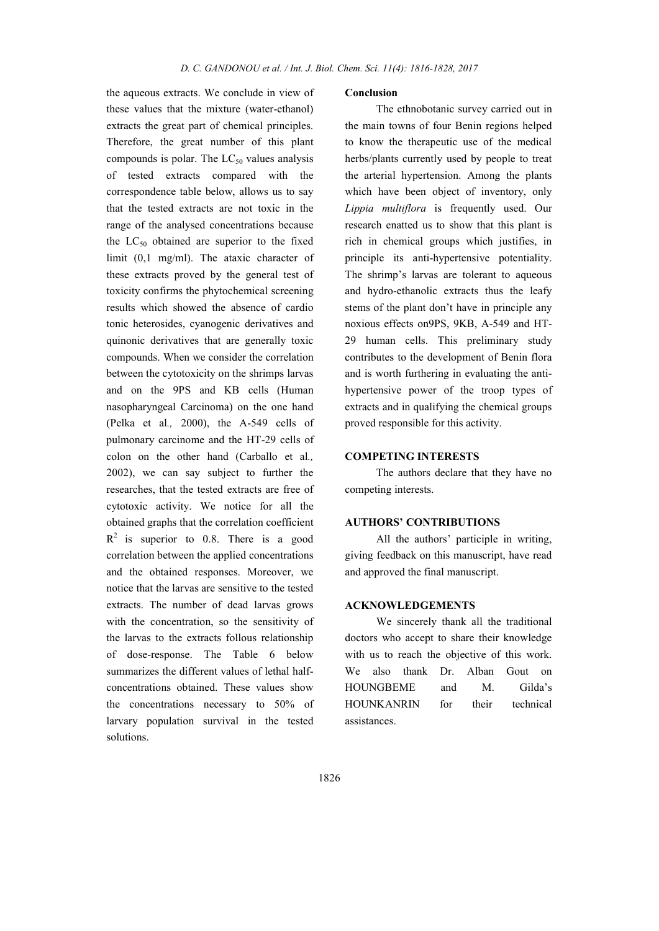the aqueous extracts. We conclude in view of these values that the mixture (water-ethanol) extracts the great part of chemical principles. Therefore, the great number of this plant compounds is polar. The  $LC_{50}$  values analysis of tested extracts compared with the correspondence table below, allows us to say that the tested extracts are not toxic in the range of the analysed concentrations because the  $LC_{50}$  obtained are superior to the fixed limit (0,1 mg/ml). The ataxic character of these extracts proved by the general test of toxicity confirms the phytochemical screening results which showed the absence of cardio tonic heterosides, cyanogenic derivatives and quinonic derivatives that are generally toxic compounds. When we consider the correlation between the cytotoxicity on the shrimps larvas and on the 9PS and KB cells (Human nasopharyngeal Carcinoma) on the one hand (Pelka et al*.,* 2000), the A-549 cells of pulmonary carcinome and the HT-29 cells of colon on the other hand (Carballo et al*.,* 2002), we can say subject to further the researches, that the tested extracts are free of cytotoxic activity. We notice for all the obtained graphs that the correlation coefficient  $R<sup>2</sup>$  is superior to 0.8. There is a good correlation between the applied concentrations and the obtained responses. Moreover, we notice that the larvas are sensitive to the tested extracts. The number of dead larvas grows with the concentration, so the sensitivity of the larvas to the extracts follous relationship of dose-response. The Table 6 below summarizes the different values of lethal halfconcentrations obtained. These values show the concentrations necessary to 50% of larvary population survival in the tested solutions.

### Conclusion

The ethnobotanic survey carried out in the main towns of four Benin regions helped to know the therapeutic use of the medical herbs/plants currently used by people to treat the arterial hypertension. Among the plants which have been object of inventory, only *Lippia multiflora* is frequently used. Our research enatted us to show that this plant is rich in chemical groups which justifies, in principle its anti-hypertensive potentiality. The shrimp's larvas are tolerant to aqueous and hydro-ethanolic extracts thus the leafy stems of the plant don't have in principle any noxious effects on9PS, 9KB, A-549 and HT-29 human cells. This preliminary study contributes to the development of Benin flora and is worth furthering in evaluating the antihypertensive power of the troop types of extracts and in qualifying the chemical groups proved responsible for this activity.

### COMPETING INTERESTS

The authors declare that they have no competing interests.

### AUTHORS' CONTRIBUTIONS

All the authors' participle in writing, giving feedback on this manuscript, have read and approved the final manuscript.

### ACKNOWLEDGEMENTS

We sincerely thank all the traditional doctors who accept to share their knowledge with us to reach the objective of this work. We also thank Dr. Alban Gout on HOUNGBEME and M. Gilda's HOUNKANRIN for their technical assistances.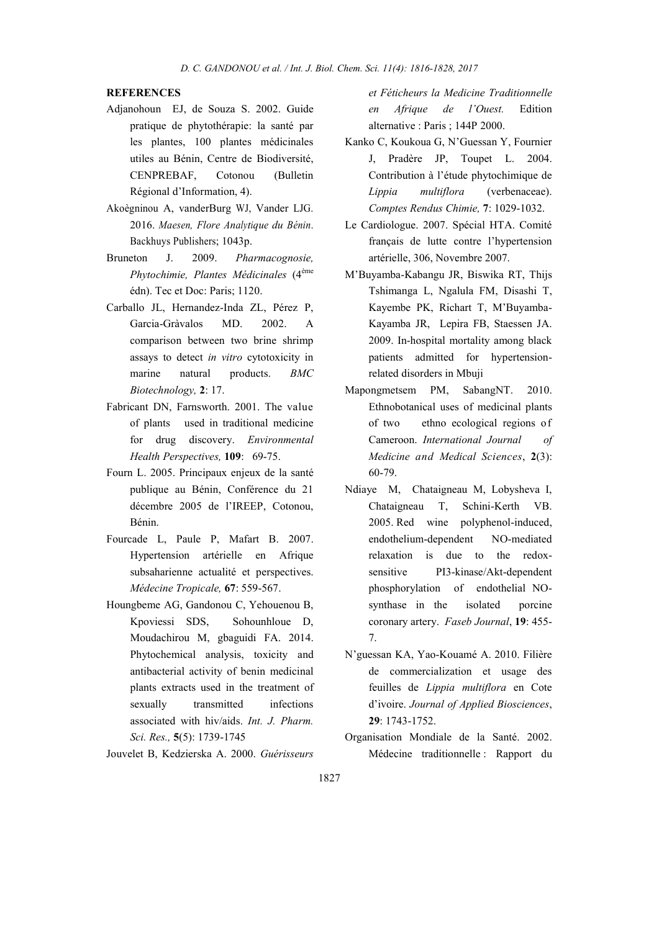## **REFERENCES**

- Adjanohoun EJ, de Souza S. 2002. Guide pratique de phytothérapie: la santé par les plantes, 100 plantes médicinales utiles au Bénin, Centre de Biodiversité, CENPREBAF, Cotonou (Bulletin Régional d'Information, 4).
- Akoègninou A, vanderBurg WJ, Vander LJG. 2016. *Maesen, Flore Analytique du Bénin*. Backhuys Publishers; 1043p.
- Bruneton J. 2009. *Pharmacognosie, Phytochimie, Plantes Médicinales* (4ème édn). Tec et Doc: Paris; 1120.
- Carballo JL, Hernandez-Inda ZL, Pérez P, Garcia-Gràvalos MD. 2002. A comparison between two brine shrimp assays to detect *in vitro* cytotoxicity in marine natural products. *BMC Biotechnology,* 2: 17.
- Fabricant DN, Farnsworth. 2001. The value of plants used in traditional medicine for drug discovery. *Environmental Health Perspectives,* 109: 69-75.
- Fourn L. 2005. Principaux enjeux de la santé publique au Bénin, Conférence du 21 décembre 2005 de l'IREEP, Cotonou, Bénin.
- Fourcade L, Paule P, Mafart B. 2007. Hypertension artérielle en Afrique subsaharienne actualité et perspectives. *Médecine Tropicale,* 67: 559-567.
- Houngbeme AG, Gandonou C, Yehouenou B, Kpoviessi SDS, Sohounhloue D, Moudachirou M, gbaguidi FA. 2014. Phytochemical analysis, toxicity and antibacterial activity of benin medicinal plants extracts used in the treatment of sexually transmitted infections associated with hiv/aids. *Int. J. Pharm. Sci. Res.,* 5(5): 1739-1745

Jouvelet B, Kedzierska A. 2000. *Guérisseurs* 

*et Féticheurs la Medicine Traditionnelle en Afrique de l'Ouest.* Edition alternative : Paris ; 144P 2000.

- Kanko C, Koukoua G, N'Guessan Y, Fournier J, Pradère JP, Toupet L. 2004. Contribution à l'étude phytochimique de *Lippia multiflora* (verbenaceae). *Comptes Rendus Chimie,* 7: 1029-1032.
- Le Cardiologue. 2007. Spécial HTA. Comité français de lutte contre l'hypertension artérielle, 306, Novembre 2007.
- M'Buyamba-Kabangu JR, Biswika RT, Thijs Tshimanga L, Ngalula FM, Disashi T, Kayembe PK, Richart T, M'Buyamba-Kayamba JR, Lepira FB, Staessen JA. 2009. In-hospital mortality among black patients admitted for hypertensionrelated disorders in Mbuji
- Mapongmetsem PM, SabangNT. 2010. Ethnobotanical uses of medicinal plants of two ethno ecological regions of Cameroon. *International Journal of Medicine and Medical Sciences*, 2(3): 60-79.
- Ndiaye M, Chataigneau M, Lobysheva I, Chataigneau T, Schini-Kerth VB. 2005. Red wine polyphenol-induced, endothelium-dependent NO-mediated relaxation is due to the redoxsensitive PI3-kinase/Akt-dependent phosphorylation of endothelial NOsynthase in the isolated porcine coronary artery. *Faseb Journal*, 19: 455- 7.
- N'guessan KA, Yao-Kouamé A. 2010. Filière de commercialization et usage des feuilles de *Lippia multiflora* en Cote d'ivoire. *Journal of Applied Biosciences*, 29: 1743-1752.
- Organisation Mondiale de la Santé. 2002. Médecine traditionnelle : Rapport du